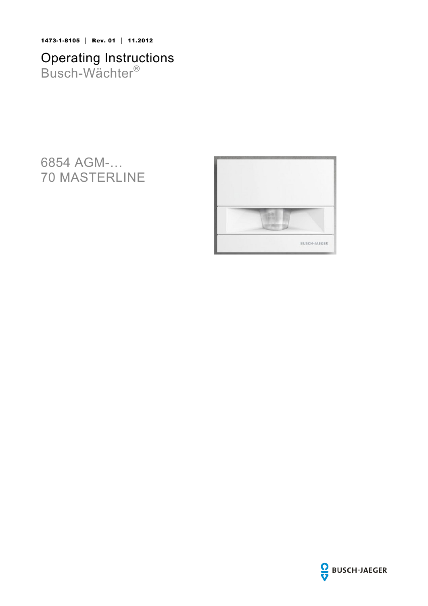1473-1-8105 │ Rev. 01 │ 11.2012

Operating Instructions Busch-Wächter®

6854 AGM-… 70 MASTERLINE



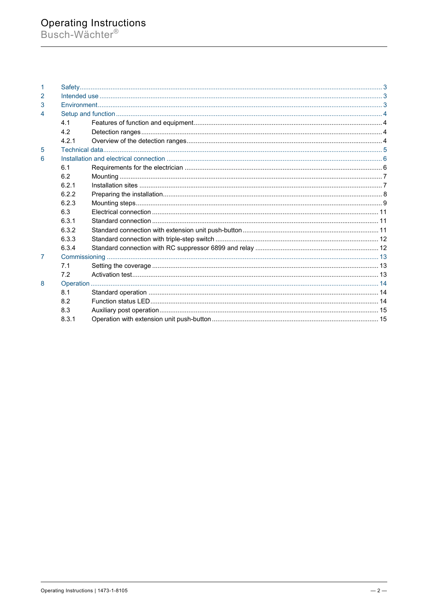# Operating Instructions<br>Busch-Wächter®

| $\overline{2}$ |       |  |  |
|----------------|-------|--|--|
| 3              |       |  |  |
| 4              |       |  |  |
|                | 4.1   |  |  |
|                | 4.2   |  |  |
|                | 4.2.1 |  |  |
| 5              |       |  |  |
| 6              |       |  |  |
|                | 6.1   |  |  |
|                | 6.2   |  |  |
|                | 6.2.1 |  |  |
|                | 6.2.2 |  |  |
|                | 6.2.3 |  |  |
|                | 6.3   |  |  |
|                | 6.3.1 |  |  |
|                | 6.3.2 |  |  |
|                | 6.3.3 |  |  |
|                | 6.3.4 |  |  |
| $\overline{7}$ |       |  |  |
|                | 7.1   |  |  |
|                | 7.2   |  |  |
| 8              |       |  |  |
|                | 8.1   |  |  |
|                | 8.2   |  |  |
|                | 8.3   |  |  |
|                | 8.3.1 |  |  |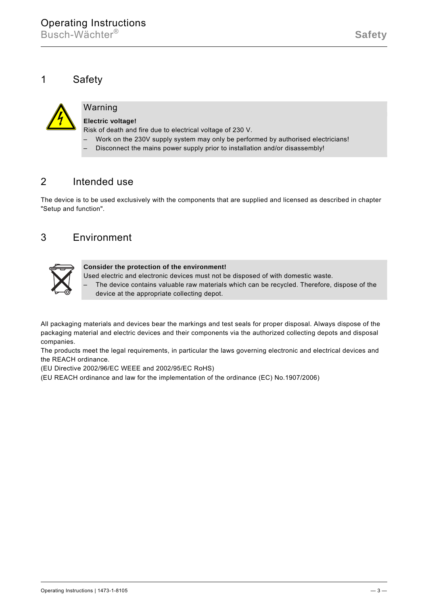## 1 Safety



## Warning

#### **Electric voltage!**

Risk of death and fire due to electrical voltage of 230 V.

- Work on the 230V supply system may only be performed by authorised electricians!
	- Disconnect the mains power supply prior to installation and/or disassembly!

## 2 Intended use

The device is to be used exclusively with the components that are supplied and licensed as described in chapter "Setup and function".

## 3 Environment



#### **Consider the protection of the environment!**

- Used electric and electronic devices must not be disposed of with domestic waste.
- The device contains valuable raw materials which can be recycled. Therefore, dispose of the device at the appropriate collecting depot.

All packaging materials and devices bear the markings and test seals for proper disposal. Always dispose of the packaging material and electric devices and their components via the authorized collecting depots and disposal companies.

The products meet the legal requirements, in particular the laws governing electronic and electrical devices and the REACH ordinance.

(EU Directive 2002/96/EC WEEE and 2002/95/EC RoHS)

(EU REACH ordinance and law for the implementation of the ordinance (EC) No.1907/2006)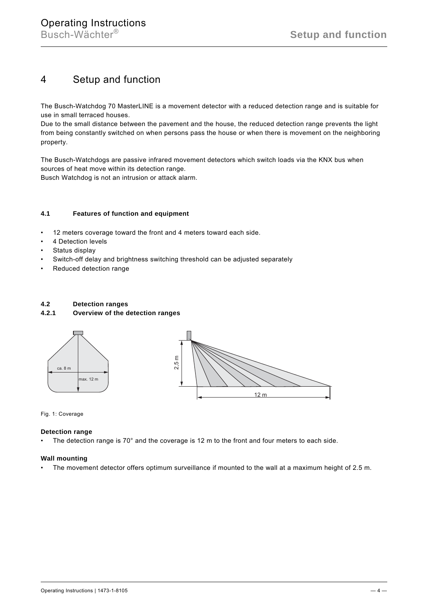## 4 Setup and function

The Busch-Watchdog 70 MasterLINE is a movement detector with a reduced detection range and is suitable for use in small terraced houses.

Due to the small distance between the pavement and the house, the reduced detection range prevents the light from being constantly switched on when persons pass the house or when there is movement on the neighboring property.

The Busch-Watchdogs are passive infrared movement detectors which switch loads via the KNX bus when sources of heat move within its detection range. Busch Watchdog is not an intrusion or attack alarm.

#### **4.1 Features of function and equipment**

- 12 meters coverage toward the front and 4 meters toward each side.
- 4 Detection levels
- Status display
- Switch-off delay and brightness switching threshold can be adjusted separately
- Reduced detection range

## **4.2 Detection ranges**

#### **4.2.1 Overview of the detection ranges**



Fig. 1: Coverage

#### **Detection range**

• The detection range is 70° and the coverage is 12 m to the front and four meters to each side.

#### **Wall mounting**

• The movement detector offers optimum surveillance if mounted to the wall at a maximum height of 2.5 m.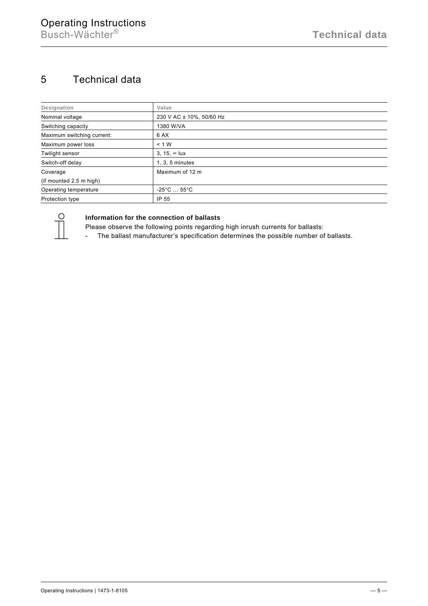## 5 Technical data

| Designation                | Value                          |
|----------------------------|--------------------------------|
| Nominal voltage            | 230 V AC ± 10%, 50/60 Hz       |
| Switching capacity         | 1380 W/VA                      |
| Maximum switching current: | 6 AX                           |
| Maximum power loss         | < 1 W                          |
| Twilight sensor            | 3, 15, $\infty$ lux            |
| Switch-off delay           | $1, 3, 5$ minutes              |
| Coverage                   | Maximum of 12 m                |
| (if mounted 2.5 m high)    |                                |
| Operating temperature      | $-25^{\circ}$ C $55^{\circ}$ C |
| Protection type            | IP 55                          |



#### **Information for the connection of ballasts**

Please observe the following points regarding high inrush currents for ballasts:

- The ballast manufacturer's specification determines the possible number of ballasts.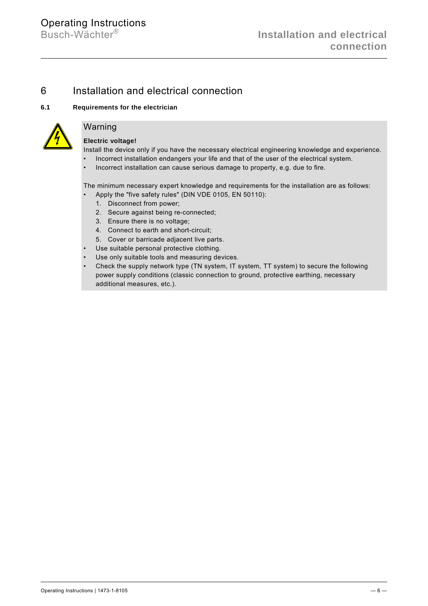## 6 Installation and electrical connection

#### 6.1 Requirements for the electrician



### Warning

#### **Electric voltage!**

- Install the device only if you have the necessary electrical engineering knowledge and experience. • Incorrect installation endangers your life and that of the user of the electrical system.
- Incorrect installation can cause serious damage to property, e.g. due to fire.

The minimum necessary expert knowledge and requirements for the installation are as follows:

- Apply the "five safety rules" (DIN VDE 0105, EN 50110):
	- 1. Disconnect from power;
	- 2. Secure against being re-connected;
	- 3. Ensure there is no voltage;
	- 4. Connect to earth and short-circuit;
	- 5. Cover or barricade adjacent live parts.
- Use suitable personal protective clothing.
- Use only suitable tools and measuring devices.
- Check the supply network type (TN system, IT system, TT system) to secure the following power supply conditions (classic connection to ground, protective earthing, necessary additional measures, etc.).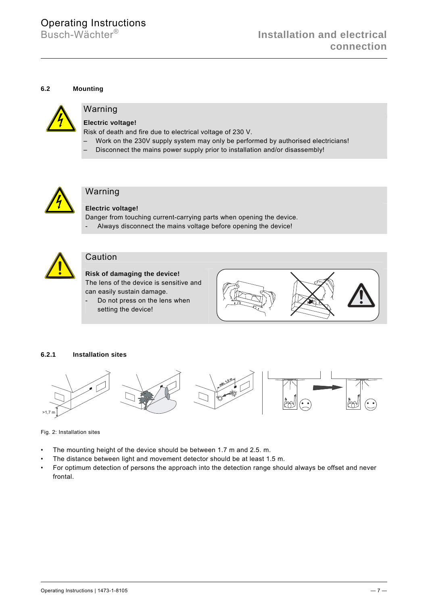#### **6.2 Mounting**



## Warning

#### **Electric voltage!**

Risk of death and fire due to electrical voltage of 230 V.

- Work on the 230V supply system may only be performed by authorised electricians!
- Disconnect the mains power supply prior to installation and/or disassembly!



## Warning

#### **Electric voltage!**

Danger from touching current-carrying parts when opening the device. Always disconnect the mains voltage before opening the device!



### Caution

**Risk of damaging the device!**  The lens of the device is sensitive and can easily sustain damage.

- Do not press on the lens when setting the device!



#### **6.2.1 Installation sites**



Fig. 2: Installation sites

- The mounting height of the device should be between 1.7 m and 2.5. m.
- The distance between light and movement detector should be at least 1.5 m.
- For optimum detection of persons the approach into the detection range should always be offset and never frontal.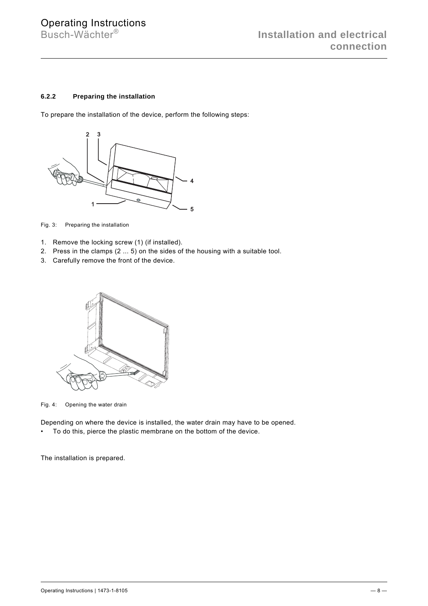#### **6.2.2 Preparing the installation**

To prepare the installation of the device, perform the following steps:



Fig. 3: Preparing the installation

- 1. Remove the locking screw (1) (if installed).
- 2. Press in the clamps (2 ... 5) on the sides of the housing with a suitable tool.
- 3. Carefully remove the front of the device.



Fig. 4: Opening the water drain

Depending on where the device is installed, the water drain may have to be opened.

• To do this, pierce the plastic membrane on the bottom of the device.

The installation is prepared.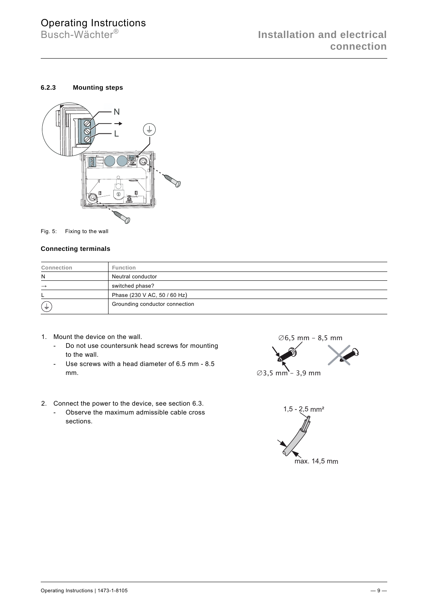**6.2.3 Mounting steps** 



Fig. 5: Fixing to the wall

#### **Connecting terminals**

| Connection    | Function                       |
|---------------|--------------------------------|
| N             | Neutral conductor              |
| $\rightarrow$ | switched phase?                |
|               | Phase (230 V AC, 50 / 60 Hz)   |
| . कै          | Grounding conductor connection |

- 1. Mount the device on the wall.
	- Do not use countersunk head screws for mounting to the wall.
	- Use screws with a head diameter of 6.5 mm 8.5 mm.
- 2. Connect the power to the device, see section 6.3.
	- Observe the maximum admissible cable cross sections.



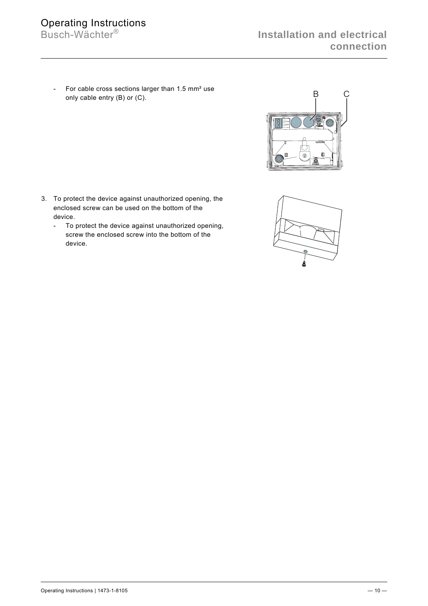## Operating Instructions<br>Busch-Wächter®

- For cable cross sections larger than 1.5 mm<sup>2</sup> use only cable entry (B) or (C).



- 3. To protect the device against unauthorized opening, the enclosed screw can be used on the bottom of the device.
	- To protect the device against unauthorized opening, screw the enclosed screw into the bottom of the device.

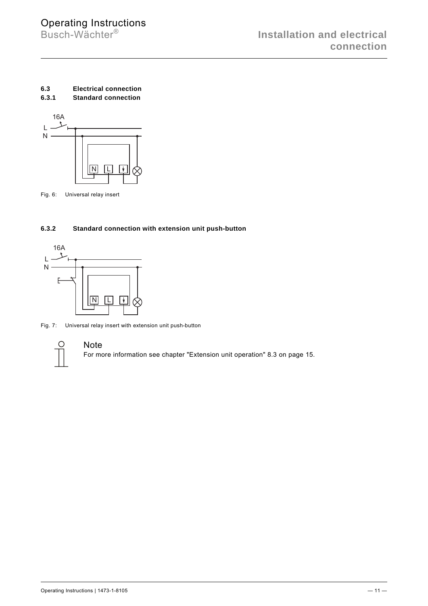**6.3 Electrical connection 6.3.1 Standard connection** 



Fig. 6: Universal relay insert

#### **6.3.2 Standard connection with extension unit push-button**



Fig. 7: Universal relay insert with extension unit push-button



**Note** For more information see chapter "Extension unit operation" 8.3 on page 15.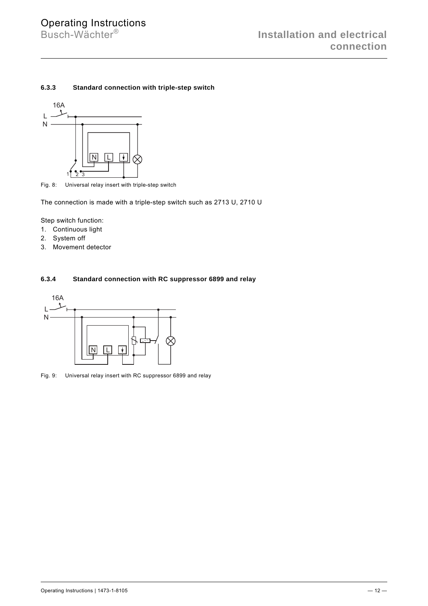#### **6.3.3 Standard connection with triple-step switch**



Fig. 8: Universal relay insert with triple-step switch

The connection is made with a triple-step switch such as 2713 U, 2710 U

Step switch function:

- 1. Continuous light
- 2. System off
- 3. Movement detector

#### **6.3.4 Standard connection with RC suppressor 6899 and relay**



Fig. 9: Universal relay insert with RC suppressor 6899 and relay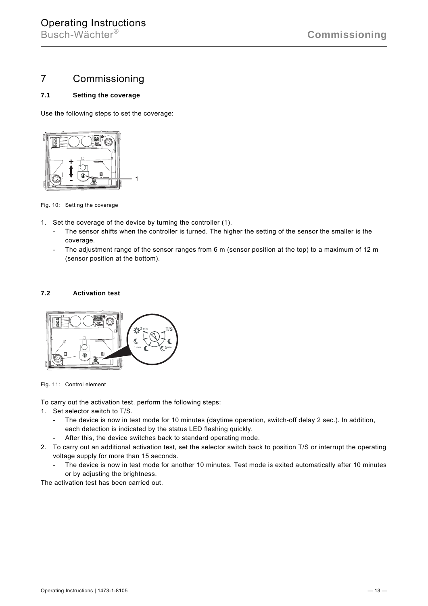## 7 Commissioning

#### **7.1 Setting the coverage**

Use the following steps to set the coverage:



Fig. 10: Setting the coverage

- 1. Set the coverage of the device by turning the controller (1).
	- The sensor shifts when the controller is turned. The higher the setting of the sensor the smaller is the coverage.
	- The adjustment range of the sensor ranges from 6 m (sensor position at the top) to a maximum of 12 m (sensor position at the bottom).

#### **7.2 Activation test**



Fig. 11: Control element

To carry out the activation test, perform the following steps:

- 1. Set selector switch to T/S.
	- The device is now in test mode for 10 minutes (daytime operation, switch-off delay 2 sec.). In addition, each detection is indicated by the status LED flashing quickly.
	- After this, the device switches back to standard operating mode.
- 2. To carry out an additional activation test, set the selector switch back to position T/S or interrupt the operating voltage supply for more than 15 seconds.
	- The device is now in test mode for another 10 minutes. Test mode is exited automatically after 10 minutes or by adjusting the brightness.

The activation test has been carried out.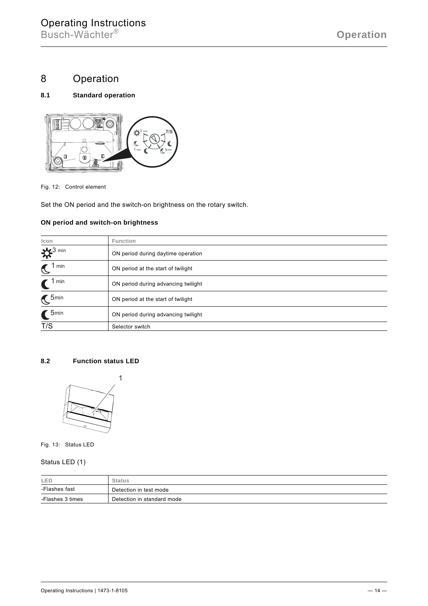## 8 Operation

#### 8.1 Standard operation



Fig. 12: Control element

Set the ON period and the switch-on brightness on the rotary switch.

#### **ON period and switch-on brightness**

| Icon                                   | Function                            |
|----------------------------------------|-------------------------------------|
| $\mathbf{\mathcal{X}}^{3 \text{ min}}$ | ON period during daytime operation  |
| min<br>$\mathcal{C}$                   | ON period at the start of twilight  |
| min                                    | ON period during advancing twilight |
| $\mathbb{C}^{5min}$                    | ON period at the start of twilight  |
| $\bigcap$ 5 min                        | ON period during advancing twilight |
| T/S                                    | Selector switch                     |

#### **8.2 Function status LED**



Fig. 13: Status LED

#### Status LED (1)

| LED              | <b>Status</b>              |
|------------------|----------------------------|
| -Flashes fast    | Detection in test mode     |
| -Flashes 3 times | Detection in standard mode |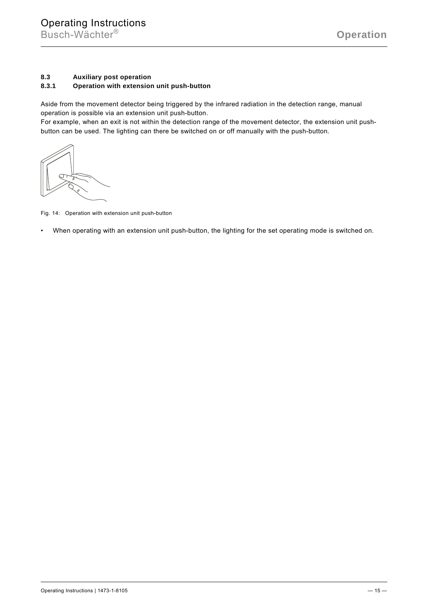#### **8.3 Auxiliary post operation**

#### $8.3.1$ **8.3.1 Operation with extension unit push-button**

Aside from the movement detector being triggered by the infrared radiation in the detection range, manual operation is possible via an extension unit push-button.

For example, when an exit is not within the detection range of the movement detector, the extension unit pushbutton can be used. The lighting can there be switched on or off manually with the push-button.



Fig. 14: Operation with extension unit push-button

• When operating with an extension unit push-button, the lighting for the set operating mode is switched on.